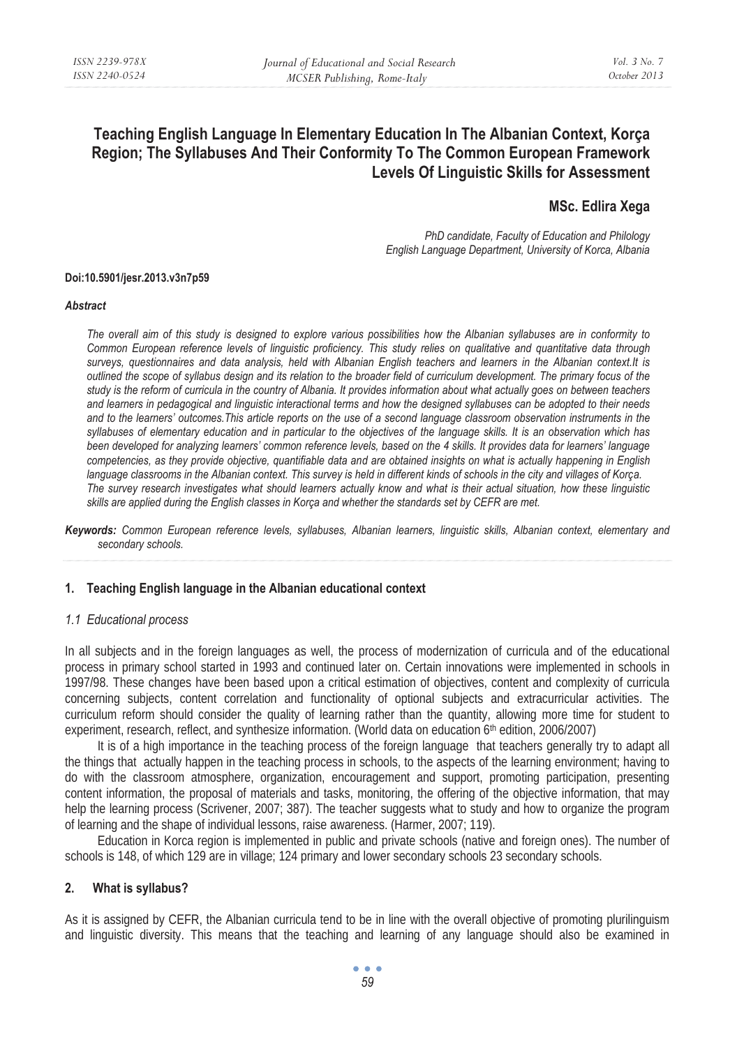# **Teaching English Language In Elementary Education In The Albanian Context, Korça Region; The Syllabuses And Their Conformity To The Common European Framework Levels Of Linguistic Skills for Assessment**

# **MSc. Edlira Xega**

*PhD candidate, Faculty of Education and Philology English Language Department, University of Korca, Albania* 

#### **Doi:10.5901/jesr.2013.v3n7p59**

#### *Abstract*

*The overall aim of this study is designed to explore various possibilities how the Albanian syllabuses are in conformity to Common European reference levels of linguistic proficiency. This study relies on qualitative and quantitative data through surveys, questionnaires and data analysis, held with Albanian English teachers and learners in the Albanian context.It is outlined the scope of syllabus design and its relation to the broader field of curriculum development. The primary focus of the study is the reform of curricula in the country of Albania. It provides information about what actually goes on between teachers and learners in pedagogical and linguistic interactional terms and how the designed syllabuses can be adopted to their needs and to the learners' outcomes.This article reports on the use of a second language classroom observation instruments in the syllabuses of elementary education and in particular to the objectives of the language skills. It is an observation which has been developed for analyzing learners' common reference levels, based on the 4 skills. It provides data for learners' language competencies, as they provide objective, quantifiable data and are obtained insights on what is actually happening in English language classrooms in the Albanian context. This survey is held in different kinds of schools in the city and villages of Korça. The survey research investigates what should learners actually know and what is their actual situation, how these linguistic skills are applied during the English classes in Korça and whether the standards set by CEFR are met.* 

*Keywords: Common European reference levels, syllabuses, Albanian learners, linguistic skills, Albanian context, elementary and secondary schools.* 

#### **1. Teaching English language in the Albanian educational context**

#### *1.1 Educational process*

In all subjects and in the foreign languages as well, the process of modernization of curricula and of the educational process in primary school started in 1993 and continued later on. Certain innovations were implemented in schools in 1997/98. These changes have been based upon a critical estimation of objectives, content and complexity of curricula concerning subjects, content correlation and functionality of optional subjects and extracurricular activities. The curriculum reform should consider the quality of learning rather than the quantity, allowing more time for student to experiment, research, reflect, and synthesize information. (World data on education 6<sup>th</sup> edition, 2006/2007)

It is of a high importance in the teaching process of the foreign language that teachers generally try to adapt all the things that actually happen in the teaching process in schools, to the aspects of the learning environment; having to do with the classroom atmosphere, organization, encouragement and support, promoting participation, presenting content information, the proposal of materials and tasks, monitoring, the offering of the objective information, that may help the learning process (Scrivener, 2007; 387). The teacher suggests what to study and how to organize the program of learning and the shape of individual lessons, raise awareness. (Harmer, 2007; 119).

Education in Korca region is implemented in public and private schools (native and foreign ones). The number of schools is 148, of which 129 are in village; 124 primary and lower secondary schools 23 secondary schools.

## **2. What is syllabus?**

As it is assigned by CEFR, the Albanian curricula tend to be in line with the overall objective of promoting plurilinguism and linguistic diversity. This means that the teaching and learning of any language should also be examined in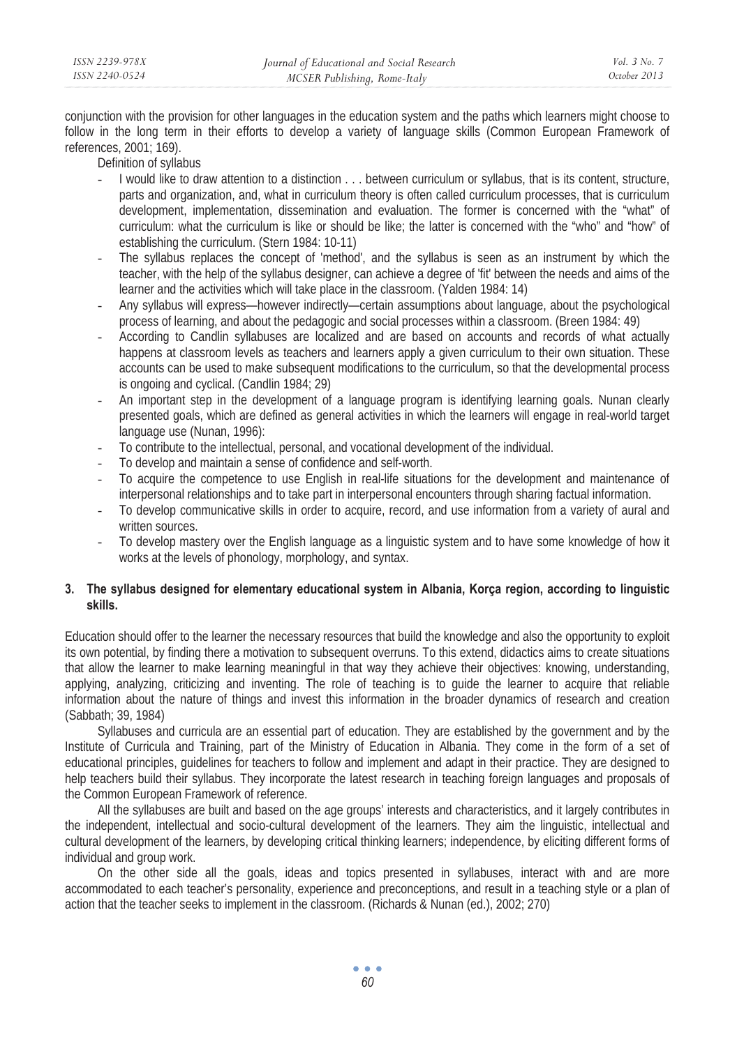conjunction with the provision for other languages in the education system and the paths which learners might choose to follow in the long term in their efforts to develop a variety of language skills (Common European Framework of references, 2001; 169).

Definition of syllabus

- I would like to draw attention to a distinction . . . between curriculum or syllabus, that is its content, structure, parts and organization, and, what in curriculum theory is often called curriculum processes, that is curriculum development, implementation, dissemination and evaluation. The former is concerned with the "what" of curriculum: what the curriculum is like or should be like; the latter is concerned with the "who" and "how" of establishing the curriculum. (Stern 1984: 10-11)
- The syllabus replaces the concept of 'method', and the syllabus is seen as an instrument by which the teacher, with the help of the syllabus designer, can achieve a degree of 'fit' between the needs and aims of the learner and the activities which will take place in the classroom. (Yalden 1984: 14)
- Any syllabus will express—however indirectly—certain assumptions about language, about the psychological process of learning, and about the pedagogic and social processes within a classroom. (Breen 1984: 49)
- According to Candlin syllabuses are localized and are based on accounts and records of what actually happens at classroom levels as teachers and learners apply a given curriculum to their own situation. These accounts can be used to make subsequent modifications to the curriculum, so that the developmental process is ongoing and cyclical. (Candlin 1984; 29)
- An important step in the development of a language program is identifying learning goals. Nunan clearly presented goals, which are defined as general activities in which the learners will engage in real-world target language use (Nunan, 1996):
- To contribute to the intellectual, personal, and vocational development of the individual.
- To develop and maintain a sense of confidence and self-worth.
- To acquire the competence to use English in real-life situations for the development and maintenance of interpersonal relationships and to take part in interpersonal encounters through sharing factual information.
- To develop communicative skills in order to acquire, record, and use information from a variety of aural and written sources.
- To develop mastery over the English language as a linguistic system and to have some knowledge of how it works at the levels of phonology, morphology, and syntax.

# **3. The syllabus designed for elementary educational system in Albania, Korça region, according to linguistic skills.**

Education should offer to the learner the necessary resources that build the knowledge and also the opportunity to exploit its own potential, by finding there a motivation to subsequent overruns. To this extend, didactics aims to create situations that allow the learner to make learning meaningful in that way they achieve their objectives: knowing, understanding, applying, analyzing, criticizing and inventing. The role of teaching is to guide the learner to acquire that reliable information about the nature of things and invest this information in the broader dynamics of research and creation (Sabbath; 39, 1984)

Syllabuses and curricula are an essential part of education. They are established by the government and by the Institute of Curricula and Training, part of the Ministry of Education in Albania. They come in the form of a set of educational principles, guidelines for teachers to follow and implement and adapt in their practice. They are designed to help teachers build their syllabus. They incorporate the latest research in teaching foreign languages and proposals of the Common European Framework of reference.

All the syllabuses are built and based on the age groups' interests and characteristics, and it largely contributes in the independent, intellectual and socio-cultural development of the learners. They aim the linguistic, intellectual and cultural development of the learners, by developing critical thinking learners; independence, by eliciting different forms of individual and group work.

On the other side all the goals, ideas and topics presented in syllabuses, interact with and are more accommodated to each teacher's personality, experience and preconceptions, and result in a teaching style or a plan of action that the teacher seeks to implement in the classroom. (Richards & Nunan (ed.), 2002; 270)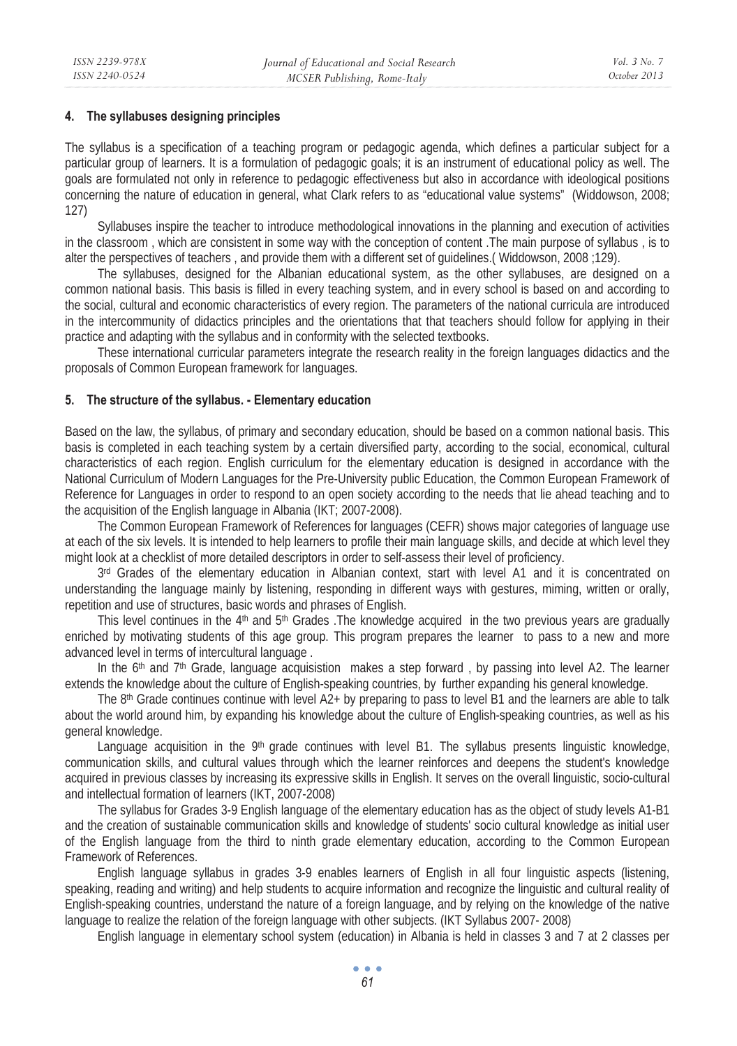# **4. The syllabuses designing principles**

The syllabus is a specification of a teaching program or pedagogic agenda, which defines a particular subject for a particular group of learners. It is a formulation of pedagogic goals; it is an instrument of educational policy as well. The goals are formulated not only in reference to pedagogic effectiveness but also in accordance with ideological positions concerning the nature of education in general, what Clark refers to as "educational value systems" (Widdowson, 2008; 127)

Syllabuses inspire the teacher to introduce methodological innovations in the planning and execution of activities in the classroom , which are consistent in some way with the conception of content .The main purpose of syllabus , is to alter the perspectives of teachers , and provide them with a different set of guidelines.( Widdowson, 2008 ;129).

The syllabuses, designed for the Albanian educational system, as the other syllabuses, are designed on a common national basis. This basis is filled in every teaching system, and in every school is based on and according to the social, cultural and economic characteristics of every region. The parameters of the national curricula are introduced in the intercommunity of didactics principles and the orientations that that teachers should follow for applying in their practice and adapting with the syllabus and in conformity with the selected textbooks.

These international curricular parameters integrate the research reality in the foreign languages didactics and the proposals of Common European framework for languages.

## **5. The structure of the syllabus. - Elementary education**

Based on the law, the syllabus, of primary and secondary education, should be based on a common national basis. This basis is completed in each teaching system by a certain diversified party, according to the social, economical, cultural characteristics of each region. English curriculum for the elementary education is designed in accordance with the National Curriculum of Modern Languages for the Pre-University public Education, the Common European Framework of Reference for Languages in order to respond to an open society according to the needs that lie ahead teaching and to the acquisition of the English language in Albania (IKT; 2007-2008).

The Common European Framework of References for languages (CEFR) shows major categories of language use at each of the six levels. It is intended to help learners to profile their main language skills, and decide at which level they might look at a checklist of more detailed descriptors in order to self-assess their level of proficiency.

 $3<sup>rd</sup>$  Grades of the elementary education in Albanian context, start with level A1 and it is concentrated on understanding the language mainly by listening, responding in different ways with gestures, miming, written or orally, repetition and use of structures, basic words and phrases of English.

This level continues in the 4<sup>th</sup> and 5<sup>th</sup> Grades .The knowledge acquired in the two previous years are gradually enriched by motivating students of this age group. This program prepares the learner to pass to a new and more advanced level in terms of intercultural language .

In the  $6<sup>th</sup>$  and  $7<sup>th</sup>$  Grade, language acquisistion makes a step forward, by passing into level A2. The learner extends the knowledge about the culture of English-speaking countries, by further expanding his general knowledge.

The 8<sup>th</sup> Grade continues continue with level  $A2+$  by preparing to pass to level B1 and the learners are able to talk about the world around him, by expanding his knowledge about the culture of English-speaking countries, as well as his general knowledge.

Language acquisition in the  $9<sup>th</sup>$  grade continues with level B1. The syllabus presents linguistic knowledge, communication skills, and cultural values through which the learner reinforces and deepens the student's knowledge acquired in previous classes by increasing its expressive skills in English. It serves on the overall linguistic, socio-cultural and intellectual formation of learners (IKT, 2007-2008)

The syllabus for Grades 3-9 English language of the elementary education has as the object of study levels A1-B1 and the creation of sustainable communication skills and knowledge of students' socio cultural knowledge as initial user of the English language from the third to ninth grade elementary education, according to the Common European Framework of References.

English language syllabus in grades 3-9 enables learners of English in all four linguistic aspects (listening, speaking, reading and writing) and help students to acquire information and recognize the linguistic and cultural reality of English-speaking countries, understand the nature of a foreign language, and by relying on the knowledge of the native language to realize the relation of the foreign language with other subjects. (IKT Syllabus 2007- 2008)

English language in elementary school system (education) in Albania is held in classes 3 and 7 at 2 classes per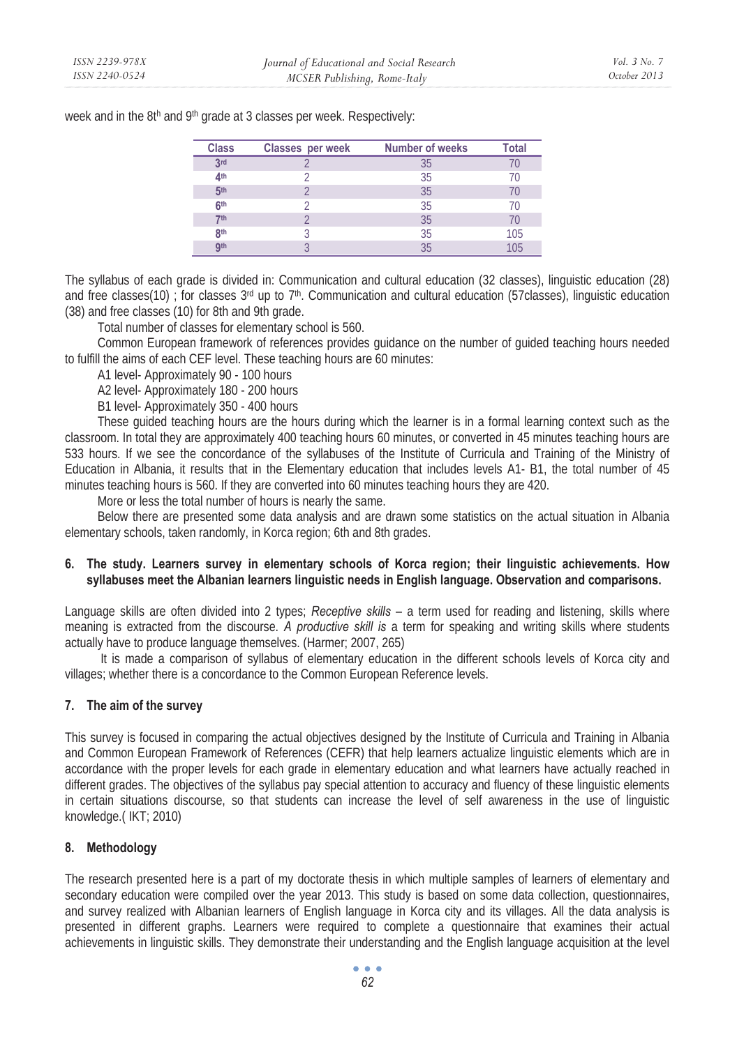| <b>Class</b>    | Classes per week | <b>Number of weeks</b> | Total |
|-----------------|------------------|------------------------|-------|
| 3rd             |                  | 35                     |       |
| 4 <sup>th</sup> |                  | 35                     | 70    |
| 5 <sup>th</sup> |                  | 35                     |       |
| 6 <sup>th</sup> |                  | 35                     |       |
| 7 <sup>th</sup> |                  | 35                     | 70    |
| 8th             |                  | 35                     | 105   |
| <b>gth</b>      |                  | 35                     | 105   |

week and in the 8th and 9th grade at 3 classes per week. Respectively:

The syllabus of each grade is divided in: Communication and cultural education (32 classes), linguistic education (28) and free classes(10) ; for classes  $3<sup>rd</sup>$  up to  $7<sup>th</sup>$ . Communication and cultural education (57classes), linguistic education (38) and free classes (10) for 8th and 9th grade.

Total number of classes for elementary school is 560.

Common European framework of references provides guidance on the number of guided teaching hours needed to fulfill the aims of each CEF level. These teaching hours are 60 minutes:

A1 level- Approximately 90 - 100 hours

A2 level- Approximately 180 - 200 hours

B1 level- Approximately 350 - 400 hours

These guided teaching hours are the hours during which the learner is in a formal learning context such as the classroom. In total they are approximately 400 teaching hours 60 minutes, or converted in 45 minutes teaching hours are 533 hours. If we see the concordance of the syllabuses of the Institute of Curricula and Training of the Ministry of Education in Albania, it results that in the Elementary education that includes levels A1- B1, the total number of 45 minutes teaching hours is 560. If they are converted into 60 minutes teaching hours they are 420.

More or less the total number of hours is nearly the same.

Below there are presented some data analysis and are drawn some statistics on the actual situation in Albania elementary schools, taken randomly, in Korca region; 6th and 8th grades.

# **6. The study. Learners survey in elementary schools of Korca region; their linguistic achievements. How syllabuses meet the Albanian learners linguistic needs in English language. Observation and comparisons.**

Language skills are often divided into 2 types; *Receptive skills* – a term used for reading and listening, skills where meaning is extracted from the discourse. *A productive skill is* a term for speaking and writing skills where students actually have to produce language themselves. (Harmer; 2007, 265)

 It is made a comparison of syllabus of elementary education in the different schools levels of Korca city and villages; whether there is a concordance to the Common European Reference levels.

## **7. The aim of the survey**

This survey is focused in comparing the actual objectives designed by the Institute of Curricula and Training in Albania and Common European Framework of References (CEFR) that help learners actualize linguistic elements which are in accordance with the proper levels for each grade in elementary education and what learners have actually reached in different grades. The objectives of the syllabus pay special attention to accuracy and fluency of these linguistic elements in certain situations discourse, so that students can increase the level of self awareness in the use of linguistic knowledge.( IKT; 2010)

## **8. Methodology**

The research presented here is a part of my doctorate thesis in which multiple samples of learners of elementary and secondary education were compiled over the year 2013. This study is based on some data collection, questionnaires, and survey realized with Albanian learners of English language in Korca city and its villages. All the data analysis is presented in different graphs. Learners were required to complete a questionnaire that examines their actual achievements in linguistic skills. They demonstrate their understanding and the English language acquisition at the level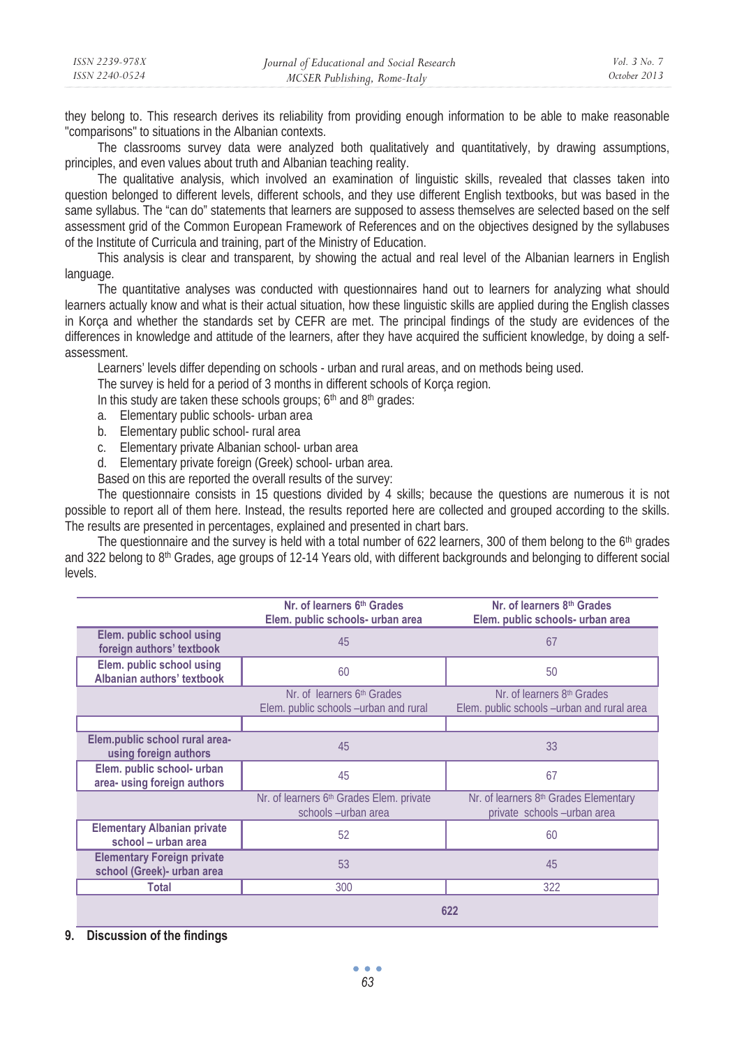| ISSN 2239-978X | Journal of Educational and Social Research | <i>Vol.</i> 3 No. 7 |
|----------------|--------------------------------------------|---------------------|
| ISSN 2240-0524 | MCSER Publishing, Rome-Italy               | October 2013        |

they belong to. This research derives its reliability from providing enough information to be able to make reasonable "comparisons" to situations in the Albanian contexts.

The classrooms survey data were analyzed both qualitatively and quantitatively, by drawing assumptions, principles, and even values about truth and Albanian teaching reality.

The qualitative analysis, which involved an examination of linguistic skills, revealed that classes taken into question belonged to different levels, different schools, and they use different English textbooks, but was based in the same syllabus. The "can do" statements that learners are supposed to assess themselves are selected based on the self assessment grid of the Common European Framework of References and on the objectives designed by the syllabuses of the Institute of Curricula and training, part of the Ministry of Education.

This analysis is clear and transparent, by showing the actual and real level of the Albanian learners in English language.

The quantitative analyses was conducted with questionnaires hand out to learners for analyzing what should learners actually know and what is their actual situation, how these linguistic skills are applied during the English classes in Korça and whether the standards set by CEFR are met. The principal findings of the study are evidences of the differences in knowledge and attitude of the learners, after they have acquired the sufficient knowledge, by doing a selfassessment.

Learners' levels differ depending on schools - urban and rural areas, and on methods being used.

The survey is held for a period of 3 months in different schools of Korça region.

In this study are taken these schools groups; 6<sup>th</sup> and 8<sup>th</sup> grades:

- a. Elementary public schools- urban area
- b. Elementary public school- rural area
- c. Elementary private Albanian school- urban area
- d. Elementary private foreign (Greek) school- urban area.

Based on this are reported the overall results of the survey:

The questionnaire consists in 15 questions divided by 4 skills; because the questions are numerous it is not possible to report all of them here. Instead, the results reported here are collected and grouped according to the skills. The results are presented in percentages, explained and presented in chart bars.

The questionnaire and the survey is held with a total number of 622 learners, 300 of them belong to the  $6<sup>th</sup>$  grades and 322 belong to 8<sup>th</sup> Grades, age groups of 12-14 Years old, with different backgrounds and belonging to different social levels.

|                                                                 | Nr. of learners 6th Grades<br>Elem. public schools- urban area                  | Nr. of learners 8th Grades<br>Elem. public schools- urban area                       |  |
|-----------------------------------------------------------------|---------------------------------------------------------------------------------|--------------------------------------------------------------------------------------|--|
| Elem. public school using<br>foreign authors' textbook          | 45                                                                              | 67                                                                                   |  |
| Elem. public school using<br>Albanian authors' textbook         | 60                                                                              | 50                                                                                   |  |
|                                                                 | Nr. of learners 6 <sup>th</sup> Grades<br>Elem. public schools -urban and rural | Nr. of learners 8 <sup>th</sup> Grades<br>Elem. public schools -urban and rural area |  |
|                                                                 |                                                                                 |                                                                                      |  |
| Elem.public school rural area-<br>using foreign authors         | 45                                                                              | 33                                                                                   |  |
| Elem. public school- urban<br>area- using foreign authors       | 45                                                                              | 67                                                                                   |  |
|                                                                 | Nr. of learners 6 <sup>th</sup> Grades Elem. private<br>schools-urban area      | Nr. of learners 8 <sup>th</sup> Grades Elementary<br>private schools-urban area      |  |
| <b>Elementary Albanian private</b><br>school - urban area       | 52                                                                              | 60                                                                                   |  |
| <b>Elementary Foreign private</b><br>school (Greek)- urban area | 53                                                                              | 45                                                                                   |  |
| Total                                                           | 300                                                                             | 322                                                                                  |  |
|                                                                 | 622                                                                             |                                                                                      |  |

#### **9. Discussion of the findings**

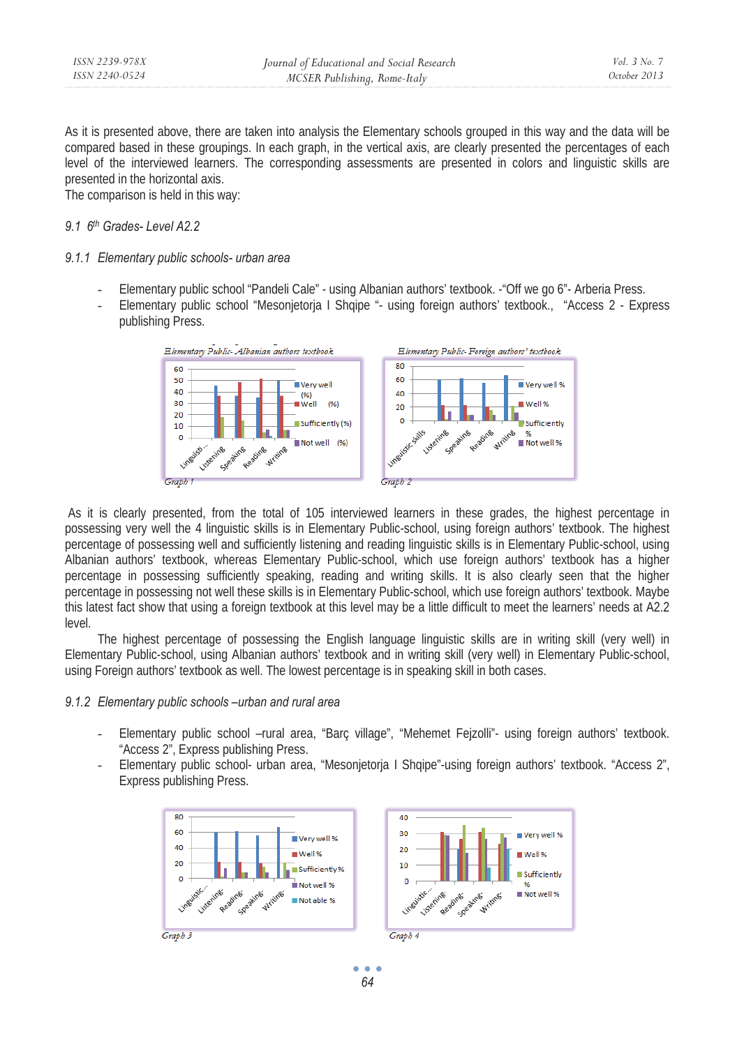As it is presented above, there are taken into analysis the Elementary schools grouped in this way and the data will be compared based in these groupings. In each graph, in the vertical axis, are clearly presented the percentages of each level of the interviewed learners. The corresponding assessments are presented in colors and linguistic skills are presented in the horizontal axis.

The comparison is held in this way:

# *9.1 6th Grades- Level A2.2*

# *9.1.1 Elementary public schools- urban area*

- Elementary public school "Pandeli Cale" using Albanian authors' textbook. -"Off we go 6"- Arberia Press.
- Elementary public school "Mesonjetorja I Shqipe "- using foreign authors' textbook., "Access 2 Express publishing Press.



 As it is clearly presented, from the total of 105 interviewed learners in these grades, the highest percentage in possessing very well the 4 linguistic skills is in Elementary Public-school, using foreign authors' textbook. The highest percentage of possessing well and sufficiently listening and reading linguistic skills is in Elementary Public-school, using Albanian authors' textbook, whereas Elementary Public-school, which use foreign authors' textbook has a higher percentage in possessing sufficiently speaking, reading and writing skills. It is also clearly seen that the higher percentage in possessing not well these skills is in Elementary Public-school, which use foreign authors' textbook. Maybe this latest fact show that using a foreign textbook at this level may be a little difficult to meet the learners' needs at A2.2 level.

The highest percentage of possessing the English language linguistic skills are in writing skill (very well) in Elementary Public-school, using Albanian authors' textbook and in writing skill (very well) in Elementary Public-school, using Foreign authors' textbook as well. The lowest percentage is in speaking skill in both cases.

## *9.1.2 Elementary public schools –urban and rural area*

- Elementary public school –rural area, "Barç village", "Mehemet Fejzolli"- using foreign authors' textbook. "Access 2", Express publishing Press.
- Elementary public school- urban area, "Mesonjetorja I Shqipe"-using foreign authors' textbook. "Access 2", Express publishing Press.



*64*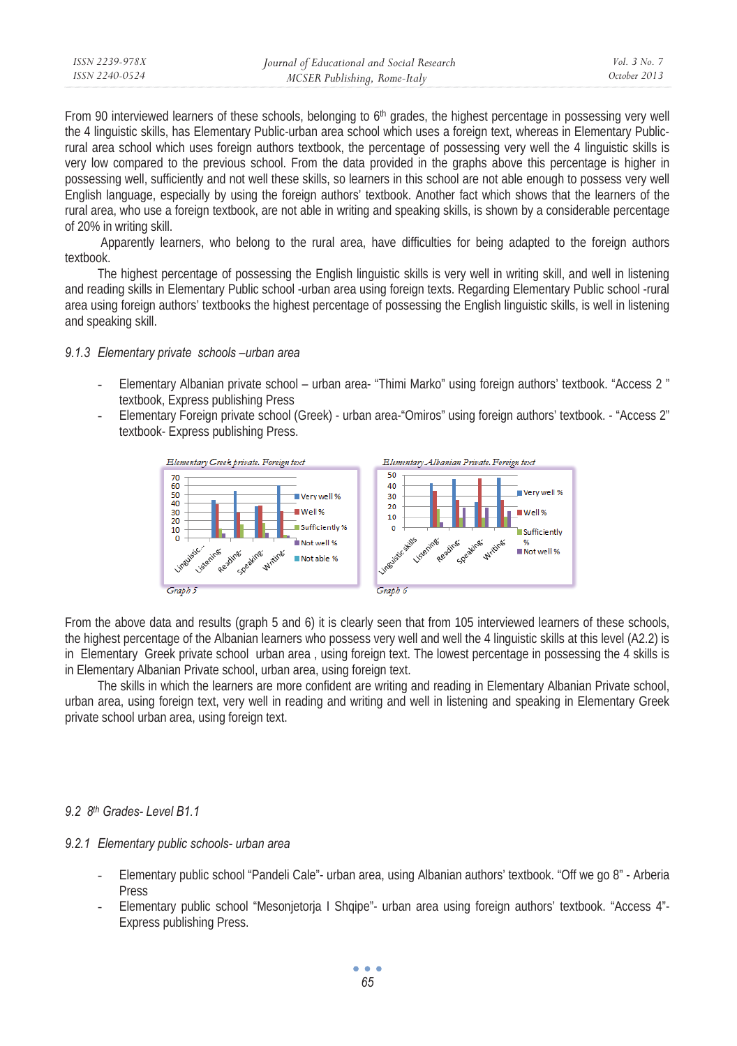| ISSN 2239-978X | Journal of Educational and Social Research | <i>Vol.</i> 3 No. 7 |
|----------------|--------------------------------------------|---------------------|
| ISSN 2240-0524 | MCSER Publishing, Rome-Italy               | October 2013        |

From 90 interviewed learners of these schools, belonging to 6<sup>th</sup> grades, the highest percentage in possessing very well the 4 linguistic skills, has Elementary Public-urban area school which uses a foreign text, whereas in Elementary Publicrural area school which uses foreign authors textbook, the percentage of possessing very well the 4 linguistic skills is very low compared to the previous school. From the data provided in the graphs above this percentage is higher in possessing well, sufficiently and not well these skills, so learners in this school are not able enough to possess very well English language, especially by using the foreign authors' textbook. Another fact which shows that the learners of the rural area, who use a foreign textbook, are not able in writing and speaking skills, is shown by a considerable percentage of 20% in writing skill.

 Apparently learners, who belong to the rural area, have difficulties for being adapted to the foreign authors textbook.

The highest percentage of possessing the English linguistic skills is very well in writing skill, and well in listening and reading skills in Elementary Public school -urban area using foreign texts. Regarding Elementary Public school -rural area using foreign authors' textbooks the highest percentage of possessing the English linguistic skills, is well in listening and speaking skill.

#### *9.1.3 Elementary private schools –urban area*

- Elementary Albanian private school urban area- "Thimi Marko" using foreign authors' textbook. "Access 2 " textbook, Express publishing Press
- Elementary Foreign private school (Greek) urban area-"Omiros" using foreign authors' textbook. "Access 2" textbook- Express publishing Press.



From the above data and results (graph 5 and 6) it is clearly seen that from 105 interviewed learners of these schools, the highest percentage of the Albanian learners who possess very well and well the 4 linguistic skills at this level (A2.2) is in Elementary Greek private school urban area , using foreign text. The lowest percentage in possessing the 4 skills is in Elementary Albanian Private school, urban area, using foreign text.

The skills in which the learners are more confident are writing and reading in Elementary Albanian Private school, urban area, using foreign text, very well in reading and writing and well in listening and speaking in Elementary Greek private school urban area, using foreign text.

#### *9.2 8th Grades- Level B1.1*

#### *9.2.1 Elementary public schools- urban area*

- Elementary public school "Pandeli Cale"- urban area, using Albanian authors' textbook. "Off we go 8" Arberia Press
- Elementary public school "Mesonjetorja I Shqipe"- urban area using foreign authors' textbook. "Access 4"- Express publishing Press.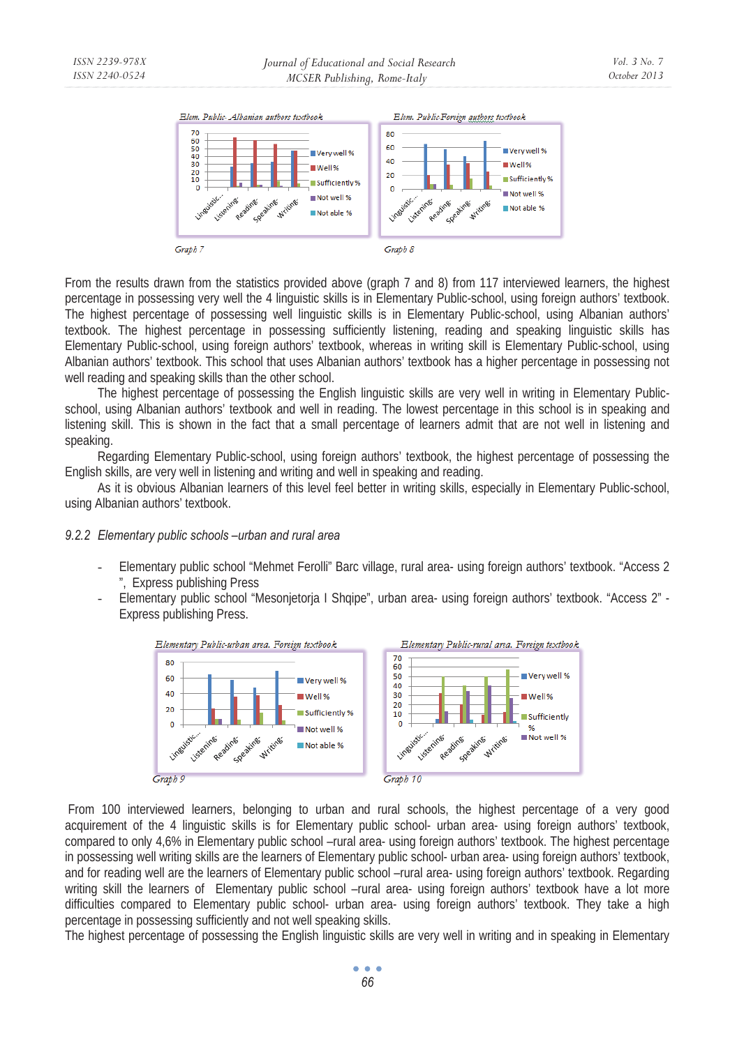

From the results drawn from the statistics provided above (graph 7 and 8) from 117 interviewed learners, the highest percentage in possessing very well the 4 linguistic skills is in Elementary Public-school, using foreign authors' textbook. The highest percentage of possessing well linguistic skills is in Elementary Public-school, using Albanian authors' textbook. The highest percentage in possessing sufficiently listening, reading and speaking linguistic skills has Elementary Public-school, using foreign authors' textbook, whereas in writing skill is Elementary Public-school, using Albanian authors' textbook. This school that uses Albanian authors' textbook has a higher percentage in possessing not well reading and speaking skills than the other school.

The highest percentage of possessing the English linguistic skills are very well in writing in Elementary Publicschool, using Albanian authors' textbook and well in reading. The lowest percentage in this school is in speaking and listening skill. This is shown in the fact that a small percentage of learners admit that are not well in listening and speaking.

Regarding Elementary Public-school, using foreign authors' textbook, the highest percentage of possessing the English skills, are very well in listening and writing and well in speaking and reading.

As it is obvious Albanian learners of this level feel better in writing skills, especially in Elementary Public-school, using Albanian authors' textbook.

## *9.2.2 Elementary public schools –urban and rural area*

- Elementary public school "Mehmet Ferolli" Barc village, rural area- using foreign authors' textbook. "Access 2 ", Express publishing Press
- Elementary public school "Mesonjetorja I Shqipe", urban area- using foreign authors' textbook. "Access 2" Express publishing Press.



 From 100 interviewed learners, belonging to urban and rural schools, the highest percentage of a very good acquirement of the 4 linguistic skills is for Elementary public school- urban area- using foreign authors' textbook, compared to only 4,6% in Elementary public school –rural area- using foreign authors' textbook. The highest percentage in possessing well writing skills are the learners of Elementary public school- urban area- using foreign authors' textbook, and for reading well are the learners of Elementary public school –rural area- using foreign authors' textbook. Regarding writing skill the learners of Elementary public school -rural area- using foreign authors' textbook have a lot more difficulties compared to Elementary public school- urban area- using foreign authors' textbook. They take a high percentage in possessing sufficiently and not well speaking skills.

The highest percentage of possessing the English linguistic skills are very well in writing and in speaking in Elementary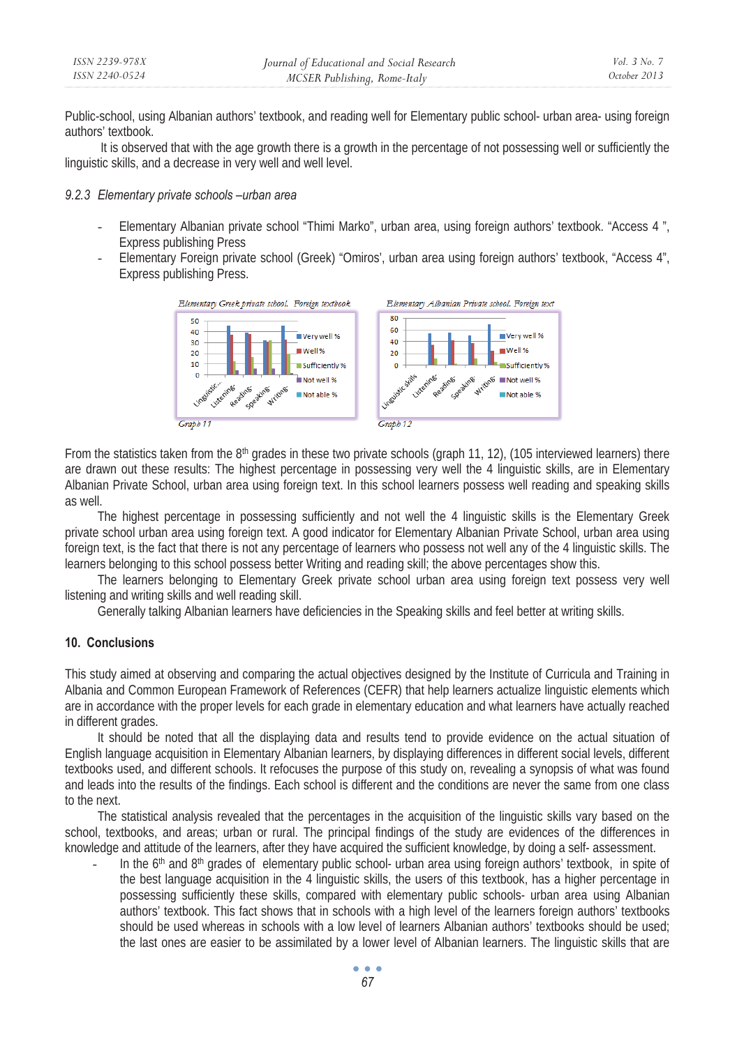| ISSN 2239-978X | Journal of Educational and Social Research | Vol. 3 No. 7 |
|----------------|--------------------------------------------|--------------|
| ISSN 2240-0524 | MCSER Publishing, Rome-Italy               | October 2013 |

Public-school, using Albanian authors' textbook, and reading well for Elementary public school- urban area- using foreign authors' textbook.

 It is observed that with the age growth there is a growth in the percentage of not possessing well or sufficiently the linguistic skills, and a decrease in very well and well level.

#### *9.2.3 Elementary private schools –urban area*

- Elementary Albanian private school "Thimi Marko", urban area, using foreign authors' textbook. "Access 4 ", Express publishing Press
- Elementary Foreign private school (Greek) "Omiros', urban area using foreign authors' textbook, "Access 4", Express publishing Press.



From the statistics taken from the  $8<sup>th</sup>$  grades in these two private schools (graph 11, 12), (105 interviewed learners) there are drawn out these results: The highest percentage in possessing very well the 4 linguistic skills, are in Elementary Albanian Private School, urban area using foreign text. In this school learners possess well reading and speaking skills as well.

The highest percentage in possessing sufficiently and not well the 4 linguistic skills is the Elementary Greek private school urban area using foreign text. A good indicator for Elementary Albanian Private School, urban area using foreign text, is the fact that there is not any percentage of learners who possess not well any of the 4 linguistic skills. The learners belonging to this school possess better Writing and reading skill; the above percentages show this.

The learners belonging to Elementary Greek private school urban area using foreign text possess very well listening and writing skills and well reading skill.

Generally talking Albanian learners have deficiencies in the Speaking skills and feel better at writing skills.

## **10. Conclusions**

This study aimed at observing and comparing the actual objectives designed by the Institute of Curricula and Training in Albania and Common European Framework of References (CEFR) that help learners actualize linguistic elements which are in accordance with the proper levels for each grade in elementary education and what learners have actually reached in different grades.

It should be noted that all the displaying data and results tend to provide evidence on the actual situation of English language acquisition in Elementary Albanian learners, by displaying differences in different social levels, different textbooks used, and different schools. It refocuses the purpose of this study on, revealing a synopsis of what was found and leads into the results of the findings. Each school is different and the conditions are never the same from one class to the next.

The statistical analysis revealed that the percentages in the acquisition of the linguistic skills vary based on the school, textbooks, and areas; urban or rural. The principal findings of the study are evidences of the differences in knowledge and attitude of the learners, after they have acquired the sufficient knowledge, by doing a self- assessment.

In the 6<sup>th</sup> and 8<sup>th</sup> grades of elementary public school- urban area using foreign authors' textbook, in spite of the best language acquisition in the 4 linguistic skills, the users of this textbook, has a higher percentage in possessing sufficiently these skills, compared with elementary public schools- urban area using Albanian authors' textbook. This fact shows that in schools with a high level of the learners foreign authors' textbooks should be used whereas in schools with a low level of learners Albanian authors' textbooks should be used; the last ones are easier to be assimilated by a lower level of Albanian learners. The linguistic skills that are